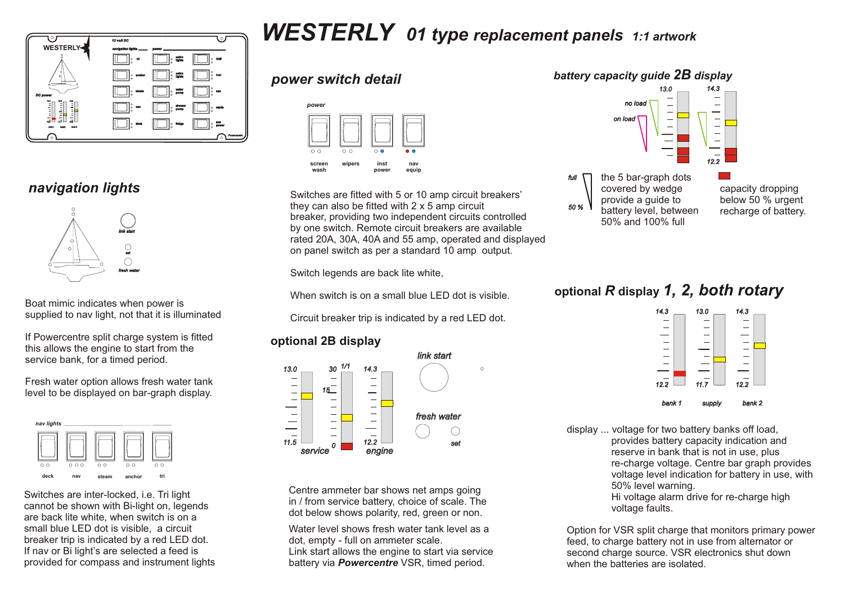

### *navigation lights*



Boat mimic indicates when power is supplied to nav light, not that it is illuminated

If Powercentre split charge system is fitted this allows the engine to start from the service bank, for a timed period.

Fresh water option allows fresh water tank level to be displayed on bar-graph display.



Switches are inter-locked, i.e. Tri light cannot be shown with Bi-light on, legends are back lite white, when switch is on a small blue LED dot is visible, a circuit breaker trip is indicated by a red LED dot. If nav or Bi light's are selected a feed is provided for compass and instrument lights

# *WESTERLY 01 type replacement panels 1:1 artwork*

#### *power switch detail*



Switches are fitted with 5 or 10 amp circuit breakers' they can also be fitted with 2 x 5 amp circuit breaker, providing two independent circuits controlled by one switch. Remote circuit breakers are available rated 20A, 30A, 40A and 55 amp, operated and displayed on panel switch as per a standard 10 amp output.

Switch legends are back lite white,

When switch is on a small blue LED dot is visible.

Circuit breaker trip is indicated by a red LED dot.

#### **optional 2B display**



Centre ammeter bar shows net amps going in / from service battery, choice of scale. The dot below shows polarity, red, green or non.

Water level shows fresh water tank level as a dot, empty - full on ammeter scale. Link start allows the engine to start via service battery via *Powercentre* VSR, timed period.



capacity dropping below 50 % urgent recharge of battery.

# **optional** *R* **display** *1, 2, both rotary*



display ... voltage for two battery banks off load, provides battery capacity indication and reserve in bank that is not in use, plus re-charge voltage. Centre bar graph provides voltage level indication for battery in use, with 50% level warning. Hi voltage alarm drive for re-charge high voltage faults.

Option for VSR split charge that monitors primary power feed, to charge battery not in use from alternator or second charge source. VSR electronics shut down when the batteries are isolated.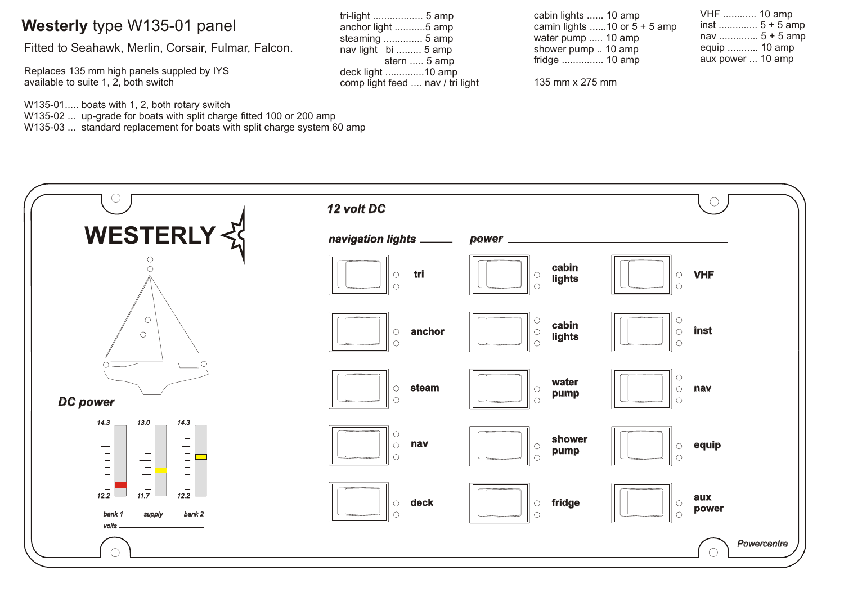# **Westerly** type W135-01 panel

Fitted to Seahawk, Merlin, Corsair, Fulmar, Falcon.

Replaces 135 mm high panels suppled by IYS available to suite 1, 2, both switch

W135-01..... boats with 1, 2, both rotary switch W135-02 ... up-grade for boats with split charge fitted 100 or 200 amp

W135-03 ... standard replacement for boats with split charge system 60 amp

| tri-light  5 amp                 |
|----------------------------------|
| anchor light 5 amp               |
| steaming  5 amp                  |
| nav light bi  5 amp              |
| stern  5 amp                     |
| deck light 10 amp                |
| comp light feed  nav / tri light |

| cabin lights  10 amp           |  |
|--------------------------------|--|
| camin lights 10 or $5 + 5$ amp |  |
| water pump  10 amp             |  |
| shower pump  10 amp            |  |
| fridge  10 amp                 |  |

135 mm x 275 mm

| VHF  10 amp       |
|-------------------|
| inst $5 + 5$ amp  |
| nav  5 + 5 amp    |
| equip  10 amp     |
| aux power  10 amp |
|                   |